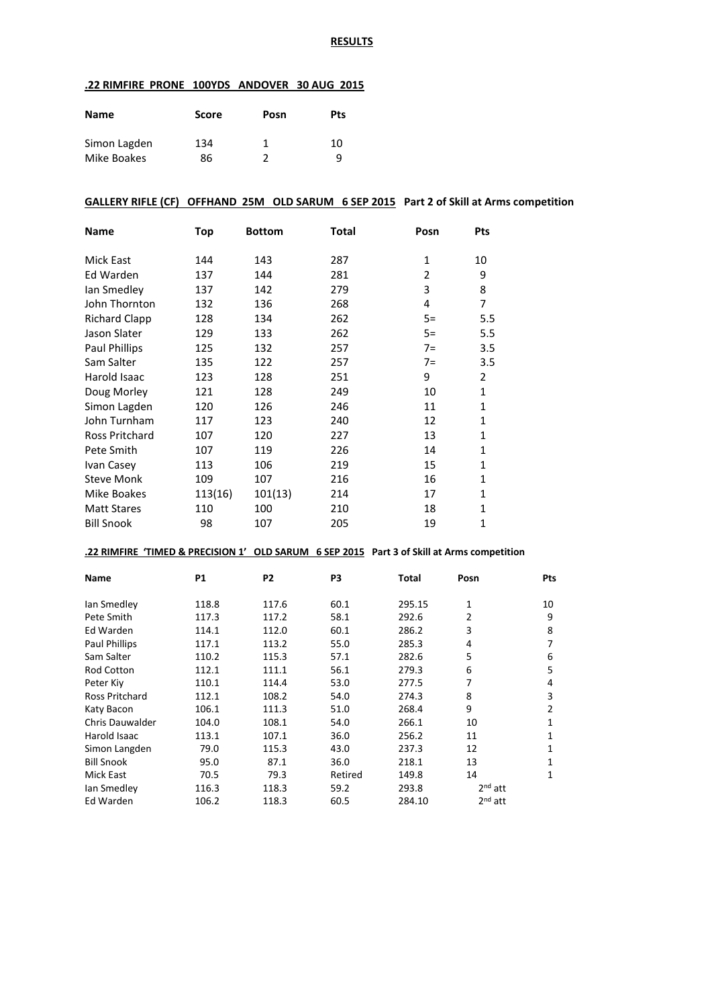#### **RESULTS**

## **.22 RIMFIRE PRONE 100YDS ANDOVER 30 AUG 2015**

| Name         | <b>Score</b> | Posn | Pts |
|--------------|--------------|------|-----|
| Simon Lagden | 134          | 1    | 10  |
| Mike Boakes  | 86           |      | a   |

## **GALLERY RIFLE (CF) OFFHAND 25M OLD SARUM 6 SEP 2015 Part 2 of Skill at Arms competition**

| <b>Name</b>           | <b>Top</b> | <b>Bottom</b> | Total | Posn         | Pts          |
|-----------------------|------------|---------------|-------|--------------|--------------|
| Mick East             | 144        | 143           | 287   | $\mathbf{1}$ | 10           |
| Ed Warden             | 137        | 144           | 281   | 2            | 9            |
| lan Smedley           | 137        | 142           | 279   | 3            | 8            |
| John Thornton         | 132        | 136           | 268   | 4            | 7            |
| <b>Richard Clapp</b>  | 128        | 134           | 262   | $5=$         | 5.5          |
| Jason Slater          | 129        | 133           | 262   | $5=$         | 5.5          |
| Paul Phillips         | 125        | 132           | 257   | $7=$         | 3.5          |
| Sam Salter            | 135        | 122           | 257   | $7=$         | 3.5          |
| Harold Isaac          | 123        | 128           | 251   | 9            | 2            |
| Doug Morley           | 121        | 128           | 249   | 10           | $\mathbf{1}$ |
| Simon Lagden          | 120        | 126           | 246   | 11           | $\mathbf{1}$ |
| John Turnham          | 117        | 123           | 240   | 12           | $\mathbf{1}$ |
| <b>Ross Pritchard</b> | 107        | 120           | 227   | 13           | 1            |
| Pete Smith            | 107        | 119           | 226   | 14           | $\mathbf{1}$ |
| Ivan Casey            | 113        | 106           | 219   | 15           | $\mathbf{1}$ |
| <b>Steve Monk</b>     | 109        | 107           | 216   | 16           | $\mathbf{1}$ |
| Mike Boakes           | 113(16)    | 101(13)       | 214   | 17           | $\mathbf{1}$ |
| <b>Matt Stares</b>    | 110        | 100           | 210   | 18           | $\mathbf{1}$ |
| <b>Bill Snook</b>     | 98         | 107           | 205   | 19           | $\mathbf{1}$ |

## **.22 RIMFIRE 'TIMED & PRECISION 1' OLD SARUM 6 SEP 2015 Part 3 of Skill at Arms competition**

| <b>Name</b>          | P1    | P <sub>2</sub> | P3      | Total  | Posn      | Pts |
|----------------------|-------|----------------|---------|--------|-----------|-----|
| lan Smedley          | 118.8 | 117.6          | 60.1    | 295.15 | 1         | 10  |
| Pete Smith           | 117.3 | 117.2          | 58.1    | 292.6  | 2         | 9   |
| Ed Warden            | 114.1 | 112.0          | 60.1    | 286.2  | 3         | 8   |
| <b>Paul Phillips</b> | 117.1 | 113.2          | 55.0    | 285.3  | 4         | 7   |
| Sam Salter           | 110.2 | 115.3          | 57.1    | 282.6  | 5         | 6   |
| <b>Rod Cotton</b>    | 112.1 | 111.1          | 56.1    | 279.3  | 6         | 5   |
| Peter Kiy            | 110.1 | 114.4          | 53.0    | 277.5  | 7         | 4   |
| Ross Pritchard       | 112.1 | 108.2          | 54.0    | 274.3  | 8         | 3   |
| Katy Bacon           | 106.1 | 111.3          | 51.0    | 268.4  | 9         | 2   |
| Chris Dauwalder      | 104.0 | 108.1          | 54.0    | 266.1  | 10        | 1   |
| Harold Isaac         | 113.1 | 107.1          | 36.0    | 256.2  | 11        | 1   |
| Simon Langden        | 79.0  | 115.3          | 43.0    | 237.3  | 12        | 1   |
| <b>Bill Snook</b>    | 95.0  | 87.1           | 36.0    | 218.1  | 13        | 1   |
| Mick East            | 70.5  | 79.3           | Retired | 149.8  | 14        | 1   |
| lan Smedley          | 116.3 | 118.3          | 59.2    | 293.8  | $2nd$ att |     |
| Ed Warden            | 106.2 | 118.3          | 60.5    | 284.10 | $2nd$ att |     |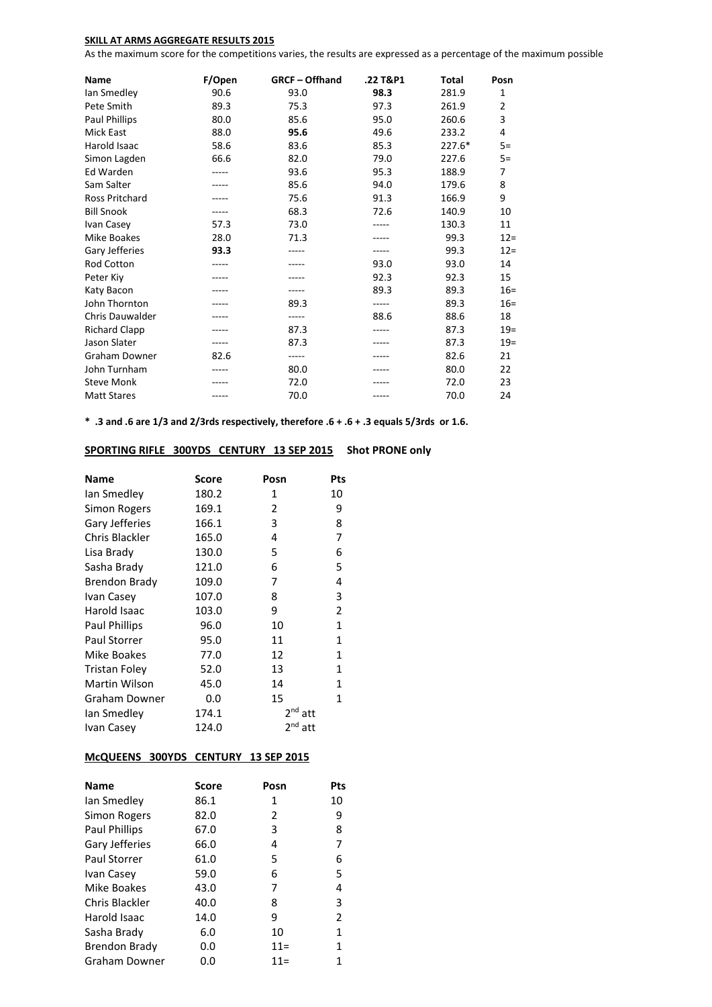## **SKILL AT ARMS AGGREGATE RESULTS 2015**

As the maximum score for the competitions varies, the results are expressed as a percentage of the maximum possible

| <b>Name</b>           | F/Open | <b>GRCF-Offhand</b> | .22 T&P1 | <b>Total</b> | Posn           |
|-----------------------|--------|---------------------|----------|--------------|----------------|
| lan Smedley           | 90.6   | 93.0                | 98.3     | 281.9        | 1              |
| Pete Smith            | 89.3   | 75.3                | 97.3     | 261.9        | $\overline{2}$ |
| <b>Paul Phillips</b>  | 80.0   | 85.6                | 95.0     | 260.6        | 3              |
| <b>Mick East</b>      | 88.0   | 95.6                | 49.6     | 233.2        | 4              |
| Harold Isaac          | 58.6   | 83.6                | 85.3     | 227.6*       | $5=$           |
| Simon Lagden          | 66.6   | 82.0                | 79.0     | 227.6        | $5=$           |
| Ed Warden             |        | 93.6                | 95.3     | 188.9        | 7              |
| Sam Salter            |        | 85.6                | 94.0     | 179.6        | 8              |
| <b>Ross Pritchard</b> |        | 75.6                | 91.3     | 166.9        | 9              |
| <b>Bill Snook</b>     |        | 68.3                | 72.6     | 140.9        | 10             |
| Ivan Casey            | 57.3   | 73.0                |          | 130.3        | 11             |
| <b>Mike Boakes</b>    | 28.0   | 71.3                |          | 99.3         | $12 =$         |
| Gary Jefferies        | 93.3   |                     | -----    | 99.3         | $12 =$         |
| Rod Cotton            |        |                     | 93.0     | 93.0         | 14             |
| Peter Kiy             |        |                     | 92.3     | 92.3         | 15             |
| Katy Bacon            |        |                     | 89.3     | 89.3         | $16=$          |
| John Thornton         |        | 89.3                |          | 89.3         | $16=$          |
| Chris Dauwalder       |        | -----               | 88.6     | 88.6         | 18             |
| <b>Richard Clapp</b>  |        | 87.3                |          | 87.3         | $19=$          |
| Jason Slater          |        | 87.3                |          | 87.3         | $19=$          |
| <b>Graham Downer</b>  | 82.6   | -----               |          | 82.6         | 21             |
| John Turnham          |        | 80.0                |          | 80.0         | 22             |
| <b>Steve Monk</b>     |        | 72.0                |          | 72.0         | 23             |
| <b>Matt Stares</b>    |        | 70.0                |          | 70.0         | 24             |

**\* .3 and .6 are 1/3 and 2/3rds respectively, therefore .6 + .6 + .3 equals 5/3rds or 1.6.**

## **SPORTING RIFLE 300YDS CENTURY 13 SEP 2015 Shot PRONE only**

| <b>Name</b>          | Score | Posn      | Pts          |
|----------------------|-------|-----------|--------------|
| lan Smedley          | 180.2 | 1         | 10           |
| Simon Rogers         | 169.1 | 2         | 9            |
| Gary Jefferies       | 166.1 | 3         | 8            |
| Chris Blackler       | 165.0 | 4         | 7            |
| Lisa Brady           | 130.0 | 5         | 6            |
| Sasha Brady          | 121.0 | 6         | 5            |
| Brendon Brady        | 109.0 | 7         | 4            |
| Ivan Casey           | 107.0 | 8         | 3            |
| Harold Isaac         | 103.0 | 9         | 2            |
| <b>Paul Phillips</b> | 96.0  | 10        | 1            |
| <b>Paul Storrer</b>  | 95.0  | 11        | 1            |
| Mike Boakes          | 77.0  | 12        | 1            |
| <b>Tristan Foley</b> | 52.0  | 13        | $\mathbf{1}$ |
| Martin Wilson        | 45.0  | 14        | 1            |
| Graham Downer        | 0.0   | 15        | 1            |
| lan Smedley          | 174.1 | $2nd$ att |              |
| Ivan Casey           | 124.0 | $2nd$ att |              |

## **McQUEENS 300YDS CENTURY 13 SEP 2015**

| <b>Name</b>         | Score | Posn   | Pts            |
|---------------------|-------|--------|----------------|
| lan Smedley         | 86.1  | 1      | 10             |
| Simon Rogers        | 82.0  | 2      | 9              |
| Paul Phillips       | 67.0  | 3      | 8              |
| Gary Jefferies      | 66.0  | 4      | 7              |
| <b>Paul Storrer</b> | 61.0  | 5      | 6              |
| Ivan Casey          | 59.0  | 6      | 5              |
| Mike Boakes         | 43.0  | 7      | 4              |
| Chris Blackler      | 40.0  | 8      | 3              |
| Harold Isaac        | 14.0  | 9      | $\overline{2}$ |
| Sasha Brady         | 6.0   | 10     | 1              |
| Brendon Brady       | 0.0   | $11 =$ | 1              |
| Graham Downer       | 0.0   | $11 =$ | 1              |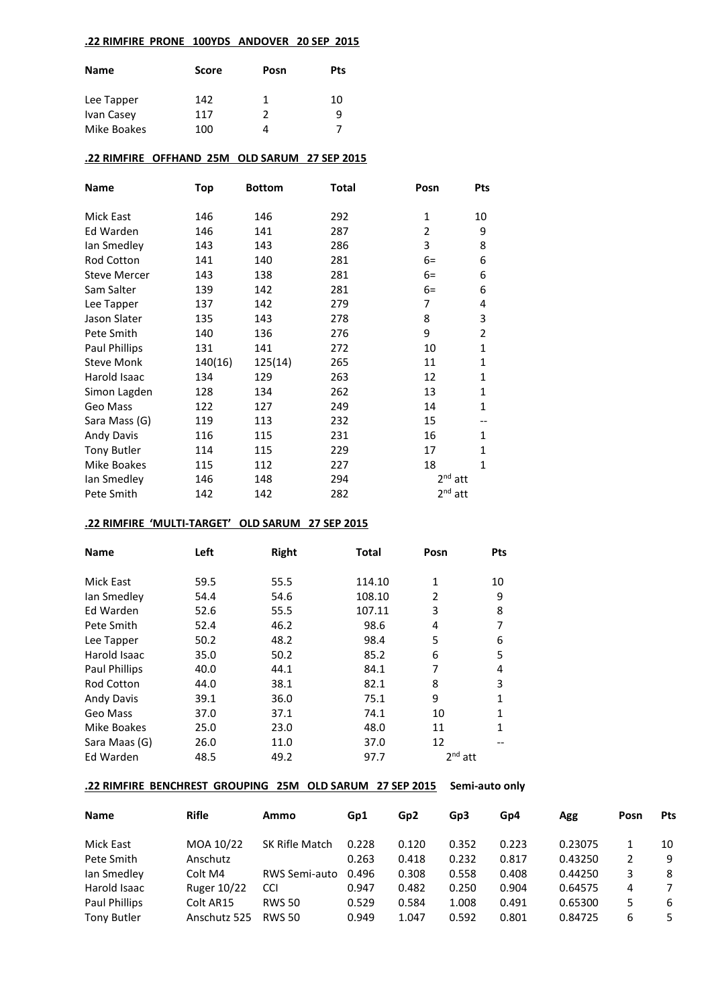## **.22 RIMFIRE PRONE 100YDS ANDOVER 20 SEP 2015**

| <b>Name</b> | <b>Score</b> | Posn | <b>Pts</b> |
|-------------|--------------|------|------------|
| Lee Tapper  | 142          | 1    | 10         |
| Ivan Casey  | 117          | 2    | 9          |
| Mike Boakes | 100          |      |            |

## **.22 RIMFIRE OFFHAND 25M OLD SARUM 27 SEP 2015**

| Name                 | <b>Top</b> | <b>Bottom</b> | Total | Posn           | Pts            |
|----------------------|------------|---------------|-------|----------------|----------------|
| Mick East            | 146        | 146           | 292   | 1              | 10             |
| Ed Warden            | 146        | 141           | 287   | $\overline{2}$ | 9              |
| lan Smedley          | 143        | 143           | 286   | 3              | 8              |
| Rod Cotton           | 141        | 140           | 281   | $6=$           | 6              |
| <b>Steve Mercer</b>  | 143        | 138           | 281   | $6=$           | 6              |
| Sam Salter           | 139        | 142           | 281   | $6=$           | 6              |
| Lee Tapper           | 137        | 142           | 279   | 7              | 4              |
| Jason Slater         | 135        | 143           | 278   | 8              | 3              |
| Pete Smith           | 140        | 136           | 276   | 9              | $\overline{2}$ |
| <b>Paul Phillips</b> | 131        | 141           | 272   | 10             | $\mathbf{1}$   |
| <b>Steve Monk</b>    | 140(16)    | 125(14)       | 265   | 11             | $\mathbf{1}$   |
| Harold Isaac         | 134        | 129           | 263   | 12             | 1              |
| Simon Lagden         | 128        | 134           | 262   | 13             | $\mathbf{1}$   |
| Geo Mass             | 122        | 127           | 249   | 14             | 1              |
| Sara Mass (G)        | 119        | 113           | 232   | 15             | --             |
| <b>Andy Davis</b>    | 116        | 115           | 231   | 16             | $\mathbf{1}$   |
| <b>Tony Butler</b>   | 114        | 115           | 229   | 17             | 1              |
| Mike Boakes          | 115        | 112           | 227   | 18             | $\mathbf{1}$   |
| lan Smedley          | 146        | 148           | 294   | $2nd$ att      |                |
| Pete Smith           | 142        | 142           | 282   | $2nd$ att      |                |

## **.22 RIMFIRE 'MULTI-TARGET' OLD SARUM 27 SEP 2015**

| <b>Name</b>       | Left<br>Right<br><b>Total</b> |      | Posn   | <b>Pts</b> |    |
|-------------------|-------------------------------|------|--------|------------|----|
| Mick East         | 59.5                          | 55.5 | 114.10 | 1          | 10 |
| lan Smedley       | 54.4                          | 54.6 | 108.10 | 2          | 9  |
| Ed Warden         | 52.6                          | 55.5 | 107.11 | 3          | 8  |
| Pete Smith        | 52.4                          | 46.2 | 98.6   | 4          |    |
| Lee Tapper        | 50.2                          | 48.2 | 98.4   | 5          | 6  |
| Harold Isaac      | 35.0                          | 50.2 | 85.2   | 6          | 5  |
| Paul Phillips     | 40.0                          | 44.1 | 84.1   | 7          | 4  |
| <b>Rod Cotton</b> | 44.0                          | 38.1 | 82.1   | 8          | 3  |
| <b>Andy Davis</b> | 39.1                          | 36.0 | 75.1   | 9          | 1  |
| Geo Mass          | 37.0                          | 37.1 | 74.1   | 10         | 1  |
| Mike Boakes       | 25.0                          | 23.0 | 48.0   | 11         | 1  |
| Sara Maas (G)     | 26.0                          | 11.0 | 37.0   | 12         |    |
| Ed Warden         | 48.5                          | 49.2 | 97.7   | $2nd$ att  |    |

## **.22 RIMFIRE BENCHREST GROUPING 25M OLD SARUM 27 SEP 2015 Semi-auto only**

| <b>Name</b>        | <b>Rifle</b> | Ammo                  | Gp1   | Gp <sub>2</sub> | Gp <sub>3</sub> | Gp4   | Agg     | Posn | Pts |
|--------------------|--------------|-----------------------|-------|-----------------|-----------------|-------|---------|------|-----|
| Mick East          | MOA 10/22    | <b>SK Rifle Match</b> | 0.228 | 0.120           | 0.352           | 0.223 | 0.23075 |      | 10  |
| Pete Smith         | Anschutz     |                       | 0.263 | 0.418           | 0.232           | 0.817 | 0.43250 |      | 9   |
| Ian Smedley        | Colt M4      | <b>RWS Semi-auto</b>  | 0.496 | 0.308           | 0.558           | 0.408 | 0.44250 |      | 8   |
| Harold Isaac       | Ruger 10/22  | <b>CCI</b>            | 0.947 | 0.482           | 0.250           | 0.904 | 0.64575 | 4    |     |
| Paul Phillips      | Colt AR15    | <b>RWS 50</b>         | 0.529 | 0.584           | 1.008           | 0.491 | 0.65300 |      | -6  |
| <b>Tony Butler</b> | Anschutz 525 | <b>RWS 50</b>         | 0.949 | 1.047           | 0.592           | 0.801 | 0.84725 | 6    | -5  |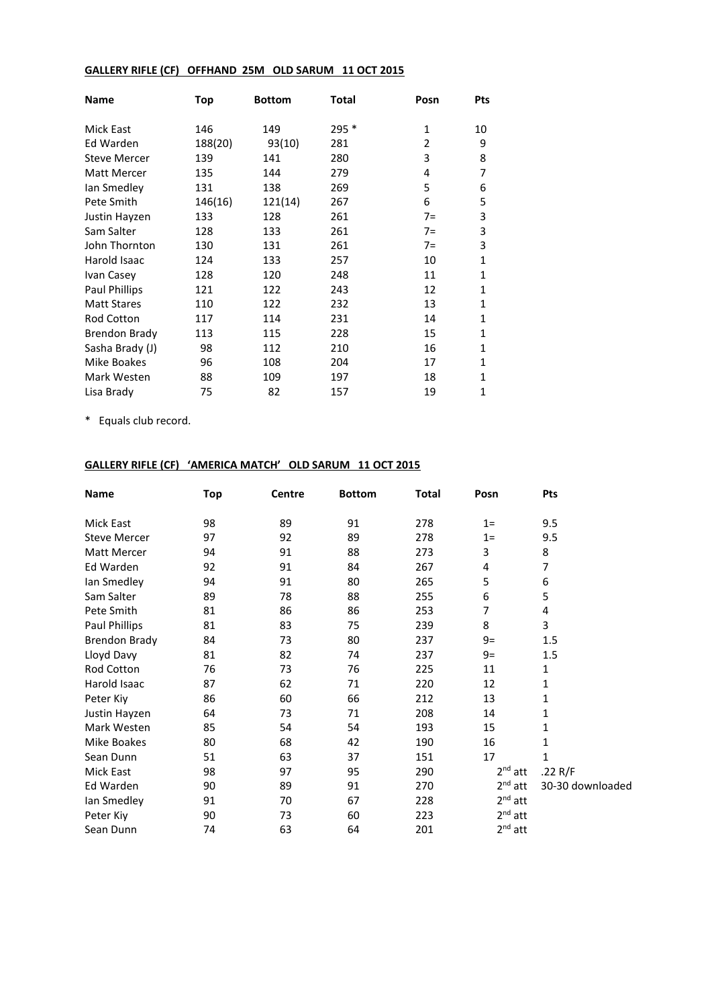# **GALLERY RIFLE (CF) OFFHAND 25M OLD SARUM 11 OCT 2015**

| <b>Name</b>          | Top     | <b>Bottom</b> | <b>Total</b> | Posn           | <b>Pts</b>   |
|----------------------|---------|---------------|--------------|----------------|--------------|
| <b>Mick East</b>     | 146     | 149           | 295 *        | 1              | 10           |
| Ed Warden            | 188(20) | 93(10)        | 281          | $\overline{2}$ | 9            |
| <b>Steve Mercer</b>  | 139     | 141           | 280          | 3              | 8            |
| Matt Mercer          | 135     | 144           | 279          | 4              | 7            |
| lan Smedley          | 131     | 138           | 269          | 5              | 6            |
| Pete Smith           | 146(16) | 121(14)       | 267          | 6              | 5            |
| Justin Hayzen        | 133     | 128           | 261          | $7=$           | 3            |
| Sam Salter           | 128     | 133           | 261          | $7=$           | 3            |
| John Thornton        | 130     | 131           | 261          | $7=$           | 3            |
| Harold Isaac         | 124     | 133           | 257          | 10             | $\mathbf{1}$ |
| Ivan Casey           | 128     | 120           | 248          | 11             | $\mathbf{1}$ |
| Paul Phillips        | 121     | 122           | 243          | 12             | $\mathbf{1}$ |
| <b>Matt Stares</b>   | 110     | 122           | 232          | 13             | $\mathbf{1}$ |
| <b>Rod Cotton</b>    | 117     | 114           | 231          | 14             | $\mathbf{1}$ |
| <b>Brendon Brady</b> | 113     | 115           | 228          | 15             | $\mathbf{1}$ |
| Sasha Brady (J)      | 98      | 112           | 210          | 16             | $\mathbf{1}$ |
| Mike Boakes          | 96      | 108           | 204          | 17             | $\mathbf{1}$ |
| Mark Westen          | 88      | 109           | 197          | 18             | $\mathbf{1}$ |
| Lisa Brady           | 75      | 82            | 157          | 19             | 1            |

\* Equals club record.

# **GALLERY RIFLE (CF) 'AMERICA MATCH' OLD SARUM 11 OCT 2015**

| Name                 | Top | Centre | <b>Bottom</b> | <b>Total</b> | Posn         | Pts              |
|----------------------|-----|--------|---------------|--------------|--------------|------------------|
| Mick East            | 98  | 89     | 91            | 278          | $1=$         | 9.5              |
| <b>Steve Mercer</b>  | 97  | 92     | 89            | 278          | $1=$         | 9.5              |
| Matt Mercer          | 94  | 91     | 88            | 273          | 3            | 8                |
| Ed Warden            | 92  | 91     | 84            | 267          | 4            | 7                |
| lan Smedley          | 94  | 91     | 80            | 265          | 5            | 6                |
| Sam Salter           | 89  | 78     | 88            | 255          | 6            | 5                |
| Pete Smith           | 81  | 86     | 86            | 253          | 7            | 4                |
| Paul Phillips        | 81  | 83     | 75            | 239          | 8            | 3                |
| <b>Brendon Brady</b> | 84  | 73     | 80            | 237          | $9=$         | 1.5              |
| Lloyd Davy           | 81  | 82     | 74            | 237          | $9=$         | 1.5              |
| <b>Rod Cotton</b>    | 76  | 73     | 76            | 225          | 11           | 1                |
| Harold Isaac         | 87  | 62     | 71            | 220          | 12           | 1                |
| Peter Kiy            | 86  | 60     | 66            | 212          | 13           | 1                |
| Justin Hayzen        | 64  | 73     | 71            | 208          | 14           | 1                |
| Mark Westen          | 85  | 54     | 54            | 193          | 15           | 1                |
| Mike Boakes          | 80  | 68     | 42            | 190          | 16           | 1                |
| Sean Dunn            | 51  | 63     | 37            | 151          | 17           | 1                |
| Mick East            | 98  | 97     | 95            | 290          | $2nd$ att    | .22 $R/F$        |
| Ed Warden            | 90  | 89     | 91            | 270          | $2nd$ att    | 30-30 downloaded |
| lan Smedley          | 91  | 70     | 67            | 228          | $2nd$ att    |                  |
| Peter Kiy            | 90  | 73     | 60            | 223          | $2nd$ att    |                  |
| Sean Dunn            | 74  | 63     | 64            | 201          | $2^{nd}$ att |                  |
|                      |     |        |               |              |              |                  |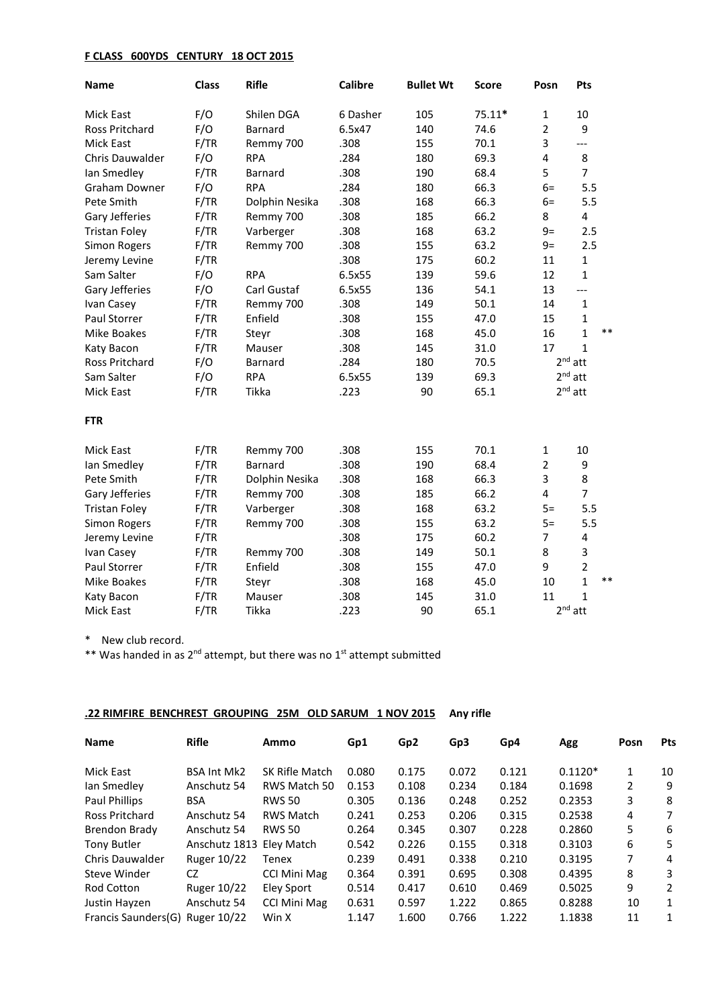#### **F CLASS 600YDS CENTURY 18 OCT 2015**

| <b>Name</b>           | <b>Class</b> | <b>Rifle</b>   | <b>Calibre</b> | <b>Bullet Wt</b> | Score    | Posn           | <b>Pts</b>            |
|-----------------------|--------------|----------------|----------------|------------------|----------|----------------|-----------------------|
| <b>Mick East</b>      | F/O          | Shilen DGA     | 6 Dasher       | 105              | $75.11*$ | 1              | 10                    |
| <b>Ross Pritchard</b> | F/O          | <b>Barnard</b> | 6.5x47         | 140              | 74.6     | $\overline{2}$ | 9                     |
| <b>Mick East</b>      | F/TR         | Remmy 700      | .308           | 155              | 70.1     | 3              | ---                   |
| Chris Dauwalder       | F/O          | <b>RPA</b>     | .284           | 180              | 69.3     | 4              | 8                     |
| lan Smedley           | F/TR         | Barnard        | .308           | 190              | 68.4     | 5              | $\overline{7}$        |
| <b>Graham Downer</b>  | F/O          | <b>RPA</b>     | .284           | 180              | 66.3     | $6=$           | 5.5                   |
| Pete Smith            | F/TR         | Dolphin Nesika | .308           | 168              | 66.3     | $6=$           | 5.5                   |
| Gary Jefferies        | F/TR         | Remmy 700      | .308           | 185              | 66.2     | 8              | 4                     |
| <b>Tristan Foley</b>  | F/TR         | Varberger      | .308           | 168              | 63.2     | $9=$           | 2.5                   |
| Simon Rogers          | F/TR         | Remmy 700      | .308           | 155              | 63.2     | $9=$           | 2.5                   |
| Jeremy Levine         | F/TR         |                | .308           | 175              | 60.2     | 11             | $\mathbf{1}$          |
| Sam Salter            | F/O          | <b>RPA</b>     | 6.5x55         | 139              | 59.6     | 12             | $\mathbf{1}$          |
| Gary Jefferies        | F/O          | Carl Gustaf    | 6.5x55         | 136              | 54.1     | 13             | $---$                 |
| Ivan Casey            | F/TR         | Remmy 700      | .308           | 149              | 50.1     | 14             | $\mathbf 1$           |
| Paul Storrer          | F/TR         | Enfield        | .308           | 155              | 47.0     | 15             | $\mathbf 1$           |
| Mike Boakes           | F/TR         | Steyr          | .308           | 168              | 45.0     | 16             | $***$<br>$\mathbf{1}$ |
| Katy Bacon            | F/TR         | Mauser         | .308           | 145              | 31.0     | 17             | $\mathbf{1}$          |
| Ross Pritchard        | F/O          | Barnard        | .284           | 180              | 70.5     |                | $2nd$ att             |
| Sam Salter            | F/O          | <b>RPA</b>     | 6.5x55         | 139              | 69.3     |                | $2nd$ att             |
| <b>Mick East</b>      | F/TR         | Tikka          | .223           | 90               | 65.1     |                | $2nd$ att             |
| <b>FTR</b>            |              |                |                |                  |          |                |                       |
| Mick East             | F/TR         | Remmy 700      | .308           | 155              | 70.1     | 1              | 10                    |
| Ian Smedley           | F/TR         | Barnard        | .308           | 190              | 68.4     | $\overline{2}$ | 9                     |
| Pete Smith            | F/TR         | Dolphin Nesika | .308           | 168              | 66.3     | 3              | 8                     |
| Gary Jefferies        | F/TR         | Remmy 700      | .308           | 185              | 66.2     | 4              | $\overline{7}$        |
| <b>Tristan Foley</b>  | F/TR         | Varberger      | .308           | 168              | 63.2     | $5=$           | 5.5                   |
| <b>Simon Rogers</b>   | F/TR         | Remmy 700      | .308           | 155              | 63.2     | $5=$           | 5.5                   |
| Jeremy Levine         | F/TR         |                | .308           | 175              | 60.2     | 7              | 4                     |
| Ivan Casey            | F/TR         | Remmy 700      | .308           | 149              | 50.1     | 8              | $\mathsf 3$           |
| Paul Storrer          | F/TR         | Enfield        | .308           | 155              | 47.0     | 9              | $\overline{2}$        |
| <b>Mike Boakes</b>    | F/TR         | Steyr          | .308           | 168              | 45.0     | 10             | $***$<br>$\mathbf{1}$ |
| Katy Bacon            | F/TR         | Mauser         | .308           | 145              | 31.0     | 11             | $\mathbf{1}$          |
| <b>Mick East</b>      | F/TR         | Tikka          | .223           | 90               | 65.1     |                | $2nd$ att             |

\* New club record.

\*\* Was handed in as 2<sup>nd</sup> attempt, but there was no 1<sup>st</sup> attempt submitted

## **.22 RIMFIRE BENCHREST GROUPING 25M OLD SARUM 1 NOV 2015 Any rifle**

| <b>Name</b>         | <b>Rifle</b>             | Ammo                  | Gp1   | Gp <sub>2</sub> | Gp3   | Gp4   | Agg       | Posn | <b>Pts</b>     |
|---------------------|--------------------------|-----------------------|-------|-----------------|-------|-------|-----------|------|----------------|
| <b>Mick East</b>    | <b>BSA Int Mk2</b>       | <b>SK Rifle Match</b> | 0.080 | 0.175           | 0.072 | 0.121 | $0.1120*$ | 1    | 10             |
| lan Smedley         | Anschutz 54              | RWS Match 50          | 0.153 | 0.108           | 0.234 | 0.184 | 0.1698    | 2    | 9              |
| Paul Phillips       | <b>BSA</b>               | <b>RWS 50</b>         | 0.305 | 0.136           | 0.248 | 0.252 | 0.2353    | 3    | 8              |
| Ross Pritchard      | Anschutz 54              | <b>RWS Match</b>      | 0.241 | 0.253           | 0.206 | 0.315 | 0.2538    | 4    | 7              |
| Brendon Brady       | Anschutz 54              | <b>RWS 50</b>         | 0.264 | 0.345           | 0.307 | 0.228 | 0.2860    | 5    | 6              |
| <b>Tony Butler</b>  | Anschutz 1813 Eley Match |                       | 0.542 | 0.226           | 0.155 | 0.318 | 0.3103    | 6    | 5              |
| Chris Dauwalder     | Ruger 10/22              | Tenex                 | 0.239 | 0.491           | 0.338 | 0.210 | 0.3195    | 7    | 4              |
| Steve Winder        | CZ                       | <b>CCI Mini Mag</b>   | 0.364 | 0.391           | 0.695 | 0.308 | 0.4395    | 8    | 3              |
| <b>Rod Cotton</b>   | Ruger 10/22              | Eley Sport            | 0.514 | 0.417           | 0.610 | 0.469 | 0.5025    | q    | $\overline{2}$ |
| Justin Hayzen       | Anschutz 54              | <b>CCI Mini Mag</b>   | 0.631 | 0.597           | 1.222 | 0.865 | 0.8288    | 10   | $\mathbf{1}$   |
| Francis Saunders(G) | Ruger 10/22              | Win X                 | 1.147 | 1.600           | 0.766 | 1.222 | 1.1838    | 11   | 1              |